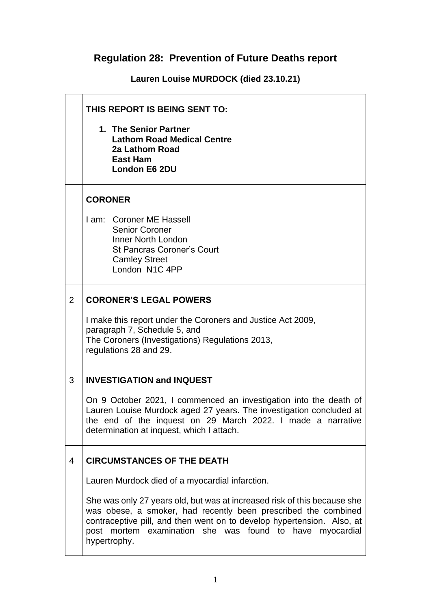## **Regulation 28: Prevention of Future Deaths report**

**Lauren Louise MURDOCK (died 23.10.21)**

|   | THIS REPORT IS BEING SENT TO:                                                                                                                                                                                                                                                                       |  |
|---|-----------------------------------------------------------------------------------------------------------------------------------------------------------------------------------------------------------------------------------------------------------------------------------------------------|--|
|   | 1. The Senior Partner<br><b>Lathom Road Medical Centre</b><br>2a Lathom Road<br><b>East Ham</b><br><b>London E6 2DU</b>                                                                                                                                                                             |  |
|   | <b>CORONER</b>                                                                                                                                                                                                                                                                                      |  |
|   | I am: Coroner ME Hassell<br><b>Senior Coroner</b><br>Inner North London<br><b>St Pancras Coroner's Court</b><br><b>Camley Street</b><br>London N1C 4PP                                                                                                                                              |  |
| 2 | <b>CORONER'S LEGAL POWERS</b>                                                                                                                                                                                                                                                                       |  |
|   | I make this report under the Coroners and Justice Act 2009,<br>paragraph 7, Schedule 5, and<br>The Coroners (Investigations) Regulations 2013,<br>regulations 28 and 29.                                                                                                                            |  |
| 3 | <b>INVESTIGATION and INQUEST</b>                                                                                                                                                                                                                                                                    |  |
|   | On 9 October 2021, I commenced an investigation into the death of<br>Lauren Louise Murdock aged 27 years. The investigation concluded at<br>the end of the inquest on 29 March 2022. I made a narrative<br>determination at inquest, which I attach.                                                |  |
| 4 | <b>CIRCUMSTANCES OF THE DEATH</b>                                                                                                                                                                                                                                                                   |  |
|   | Lauren Murdock died of a myocardial infarction.                                                                                                                                                                                                                                                     |  |
|   | She was only 27 years old, but was at increased risk of this because she<br>was obese, a smoker, had recently been prescribed the combined<br>contraceptive pill, and then went on to develop hypertension. Also, at<br>post mortem examination she was found to have<br>myocardial<br>hypertrophy. |  |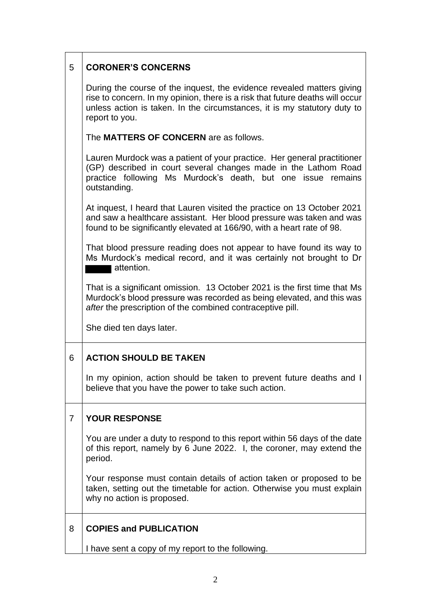| 5 | <b>CORONER'S CONCERNS</b>                                                                                                                                                                                                                             |  |
|---|-------------------------------------------------------------------------------------------------------------------------------------------------------------------------------------------------------------------------------------------------------|--|
|   | During the course of the inquest, the evidence revealed matters giving<br>rise to concern. In my opinion, there is a risk that future deaths will occur<br>unless action is taken. In the circumstances, it is my statutory duty to<br>report to you. |  |
|   | The <b>MATTERS OF CONCERN</b> are as follows.                                                                                                                                                                                                         |  |
|   | Lauren Murdock was a patient of your practice. Her general practitioner<br>(GP) described in court several changes made in the Lathom Road<br>practice following Ms Murdock's death, but one issue remains<br>outstanding.                            |  |
|   | At inquest, I heard that Lauren visited the practice on 13 October 2021<br>and saw a healthcare assistant. Her blood pressure was taken and was<br>found to be significantly elevated at 166/90, with a heart rate of 98.                             |  |
|   | That blood pressure reading does not appear to have found its way to<br>Ms Murdock's medical record, and it was certainly not brought to Dr<br>attention.                                                                                             |  |
|   | That is a significant omission. 13 October 2021 is the first time that Ms<br>Murdock's blood pressure was recorded as being elevated, and this was<br>after the prescription of the combined contraceptive pill.                                      |  |
|   | She died ten days later.                                                                                                                                                                                                                              |  |
| 6 | <b>ACTION SHOULD BE TAKEN</b>                                                                                                                                                                                                                         |  |
|   | In my opinion, action should be taken to prevent future deaths and I<br>believe that you have the power to take such action.                                                                                                                          |  |
| 7 | <b>YOUR RESPONSE</b>                                                                                                                                                                                                                                  |  |
|   | You are under a duty to respond to this report within 56 days of the date<br>of this report, namely by 6 June 2022. I, the coroner, may extend the<br>period.                                                                                         |  |
|   | Your response must contain details of action taken or proposed to be<br>taken, setting out the timetable for action. Otherwise you must explain<br>why no action is proposed.                                                                         |  |
| 8 | <b>COPIES and PUBLICATION</b>                                                                                                                                                                                                                         |  |
|   | I have sent a copy of my report to the following.                                                                                                                                                                                                     |  |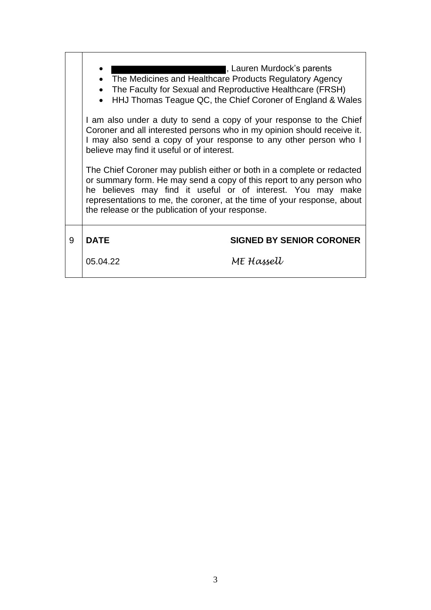|   | , Lauren Murdock's parents<br>The Medicines and Healthcare Products Regulatory Agency<br>The Faculty for Sexual and Reproductive Healthcare (FRSH)<br>HHJ Thomas Teague QC, the Chief Coroner of England & Wales<br>$\bullet$<br>I am also under a duty to send a copy of your response to the Chief                                         |                                 |  |
|---|----------------------------------------------------------------------------------------------------------------------------------------------------------------------------------------------------------------------------------------------------------------------------------------------------------------------------------------------|---------------------------------|--|
|   | Coroner and all interested persons who in my opinion should receive it.<br>I may also send a copy of your response to any other person who I<br>believe may find it useful or of interest.                                                                                                                                                   |                                 |  |
|   | The Chief Coroner may publish either or both in a complete or redacted<br>or summary form. He may send a copy of this report to any person who<br>he believes may find it useful or of interest. You may make<br>representations to me, the coroner, at the time of your response, about<br>the release or the publication of your response. |                                 |  |
| 9 | <b>DATE</b>                                                                                                                                                                                                                                                                                                                                  | <b>SIGNED BY SENIOR CORONER</b> |  |
|   | 05.04.22                                                                                                                                                                                                                                                                                                                                     | ME Hassell                      |  |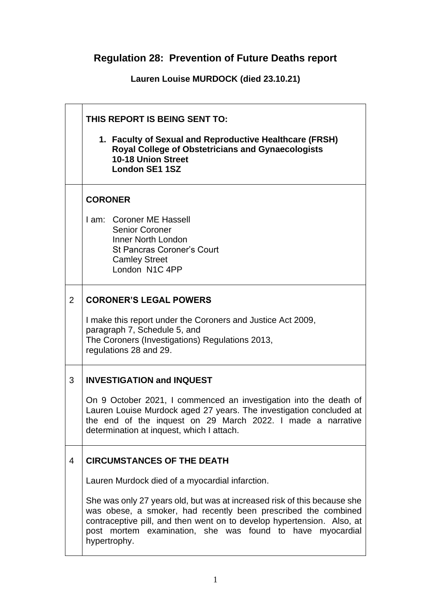## **Regulation 28: Prevention of Future Deaths report**

**Lauren Louise MURDOCK (died 23.10.21)**

|   | THIS REPORT IS BEING SENT TO:                                                                                                                                                                                                                        |                                                                                                                                                                                                                                                                                                   |
|---|------------------------------------------------------------------------------------------------------------------------------------------------------------------------------------------------------------------------------------------------------|---------------------------------------------------------------------------------------------------------------------------------------------------------------------------------------------------------------------------------------------------------------------------------------------------|
|   |                                                                                                                                                                                                                                                      | 1. Faculty of Sexual and Reproductive Healthcare (FRSH)<br><b>Royal College of Obstetricians and Gynaecologists</b><br>10-18 Union Street<br><b>London SE1 1SZ</b>                                                                                                                                |
|   | <b>CORONER</b>                                                                                                                                                                                                                                       |                                                                                                                                                                                                                                                                                                   |
|   |                                                                                                                                                                                                                                                      | I am: Coroner ME Hassell<br><b>Senior Coroner</b><br>Inner North London<br><b>St Pancras Coroner's Court</b><br><b>Camley Street</b><br>London N1C 4PP                                                                                                                                            |
| 2 | <b>CORONER'S LEGAL POWERS</b>                                                                                                                                                                                                                        |                                                                                                                                                                                                                                                                                                   |
|   | I make this report under the Coroners and Justice Act 2009,<br>paragraph 7, Schedule 5, and<br>The Coroners (Investigations) Regulations 2013,<br>regulations 28 and 29.                                                                             |                                                                                                                                                                                                                                                                                                   |
| 3 | <b>INVESTIGATION and INQUEST</b>                                                                                                                                                                                                                     |                                                                                                                                                                                                                                                                                                   |
|   | On 9 October 2021, I commenced an investigation into the death of<br>Lauren Louise Murdock aged 27 years. The investigation concluded at<br>the end of the inquest on 29 March 2022. I made a narrative<br>determination at inquest, which I attach. |                                                                                                                                                                                                                                                                                                   |
| 4 | <b>CIRCUMSTANCES OF THE DEATH</b>                                                                                                                                                                                                                    |                                                                                                                                                                                                                                                                                                   |
|   | Lauren Murdock died of a myocardial infarction.                                                                                                                                                                                                      |                                                                                                                                                                                                                                                                                                   |
|   |                                                                                                                                                                                                                                                      | She was only 27 years old, but was at increased risk of this because she<br>was obese, a smoker, had recently been prescribed the combined<br>contraceptive pill, and then went on to develop hypertension. Also, at<br>post mortem examination, she was found to have myocardial<br>hypertrophy. |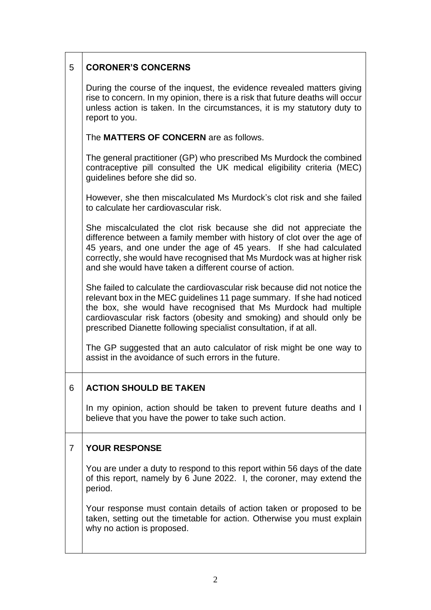| 5 | <b>CORONER'S CONCERNS</b>                                                                                                                                                                                                                                                                                                                                            |
|---|----------------------------------------------------------------------------------------------------------------------------------------------------------------------------------------------------------------------------------------------------------------------------------------------------------------------------------------------------------------------|
|   | During the course of the inquest, the evidence revealed matters giving<br>rise to concern. In my opinion, there is a risk that future deaths will occur<br>unless action is taken. In the circumstances, it is my statutory duty to<br>report to you.                                                                                                                |
|   | The <b>MATTERS OF CONCERN</b> are as follows.                                                                                                                                                                                                                                                                                                                        |
|   | The general practitioner (GP) who prescribed Ms Murdock the combined<br>contraceptive pill consulted the UK medical eligibility criteria (MEC)<br>guidelines before she did so.                                                                                                                                                                                      |
|   | However, she then miscalculated Ms Murdock's clot risk and she failed<br>to calculate her cardiovascular risk.                                                                                                                                                                                                                                                       |
|   | She miscalculated the clot risk because she did not appreciate the<br>difference between a family member with history of clot over the age of<br>45 years, and one under the age of 45 years. If she had calculated<br>correctly, she would have recognised that Ms Murdock was at higher risk<br>and she would have taken a different course of action.             |
|   | She failed to calculate the cardiovascular risk because did not notice the<br>relevant box in the MEC guidelines 11 page summary. If she had noticed<br>the box, she would have recognised that Ms Murdock had multiple<br>cardiovascular risk factors (obesity and smoking) and should only be<br>prescribed Dianette following specialist consultation, if at all. |
|   | The GP suggested that an auto calculator of risk might be one way to<br>assist in the avoidance of such errors in the future.                                                                                                                                                                                                                                        |
| 6 | <b>ACTION SHOULD BE TAKEN</b>                                                                                                                                                                                                                                                                                                                                        |
|   | In my opinion, action should be taken to prevent future deaths and I<br>believe that you have the power to take such action.                                                                                                                                                                                                                                         |
| 7 | <b>YOUR RESPONSE</b>                                                                                                                                                                                                                                                                                                                                                 |
|   | You are under a duty to respond to this report within 56 days of the date<br>of this report, namely by 6 June 2022. I, the coroner, may extend the<br>period.                                                                                                                                                                                                        |
|   | Your response must contain details of action taken or proposed to be<br>taken, setting out the timetable for action. Otherwise you must explain<br>why no action is proposed.                                                                                                                                                                                        |
|   |                                                                                                                                                                                                                                                                                                                                                                      |